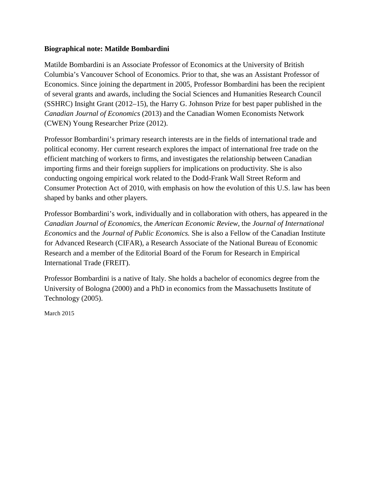## **Biographical note: Matilde Bombardini**

Matilde Bombardini is an Associate Professor of Economics at the University of British Columbia's Vancouver School of Economics. Prior to that, she was an Assistant Professor of Economics. Since joining the department in 2005, Professor Bombardini has been the recipient of several grants and awards, including the Social Sciences and Humanities Research Council (SSHRC) Insight Grant (2012–15), the Harry G. Johnson Prize for best paper published in the *Canadian Journal of Economics* (2013) and the Canadian Women Economists Network (CWEN) Young Researcher Prize (2012).

Professor Bombardini's primary research interests are in the fields of international trade and political economy. Her current research explores the impact of international free trade on the efficient matching of workers to firms, and investigates the relationship between Canadian importing firms and their foreign suppliers for implications on productivity. She is also conducting ongoing empirical work related to the Dodd-Frank Wall Street Reform and Consumer Protection Act of 2010, with emphasis on how the evolution of this U.S. law has been shaped by banks and other players.

Professor Bombardini's work, individually and in collaboration with others, has appeared in the *Canadian Journal of Economics,* the *American Economic Review*, the *Journal of International Economics* and the *Journal of Public Economics.* She is also a Fellow of the Canadian Institute for Advanced Research (CIFAR), a Research Associate of the National Bureau of Economic Research and a member of the Editorial Board of the Forum for Research in Empirical International Trade (FREIT).

Professor Bombardini is a native of Italy. She holds a bachelor of economics degree from the University of Bologna (2000) and a PhD in economics from the Massachusetts Institute of Technology (2005).

March 2015